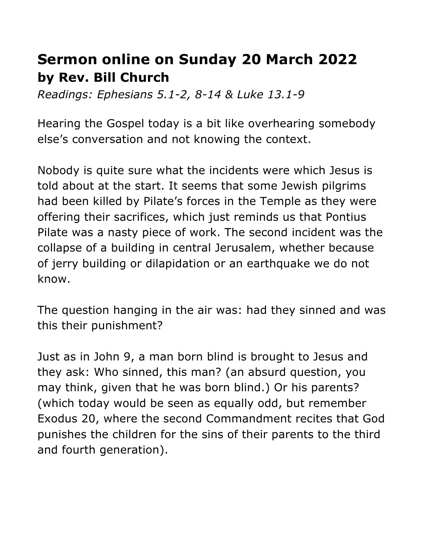## **Sermon online on Sunday 20 March 2022 by Rev. Bill Church**

*Readings: Ephesians 5.1-2, 8-14 & Luke 13.1-9*

Hearing the Gospel today is a bit like overhearing somebody else's conversation and not knowing the context.

Nobody is quite sure what the incidents were which Jesus is told about at the start. It seems that some Jewish pilgrims had been killed by Pilate's forces in the Temple as they were offering their sacrifices, which just reminds us that Pontius Pilate was a nasty piece of work. The second incident was the collapse of a building in central Jerusalem, whether because of jerry building or dilapidation or an earthquake we do not know.

The question hanging in the air was: had they sinned and was this their punishment?

Just as in John 9, a man born blind is brought to Jesus and they ask: Who sinned, this man? (an absurd question, you may think, given that he was born blind.) Or his parents? (which today would be seen as equally odd, but remember Exodus 20, where the second Commandment recites that God punishes the children for the sins of their parents to the third and fourth generation).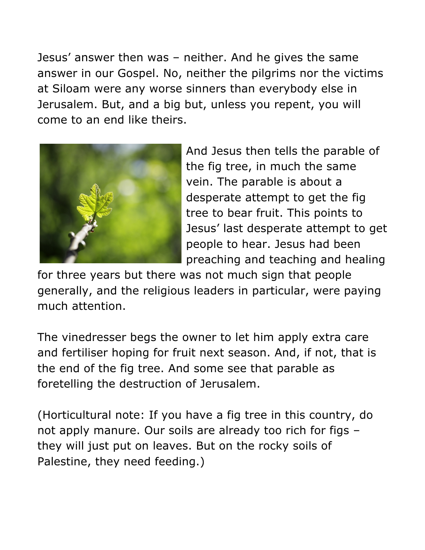Jesus' answer then was – neither. And he gives the same answer in our Gospel. No, neither the pilgrims nor the victims at Siloam were any worse sinners than everybody else in Jerusalem. But, and a big but, unless you repent, you will come to an end like theirs.



And Jesus then tells the parable of the fig tree, in much the same vein. The parable is about a desperate attempt to get the fig tree to bear fruit. This points to Jesus' last desperate attempt to get people to hear. Jesus had been preaching and teaching and healing

for three years but there was not much sign that people generally, and the religious leaders in particular, were paying much attention.

The vinedresser begs the owner to let him apply extra care and fertiliser hoping for fruit next season. And, if not, that is the end of the fig tree. And some see that parable as foretelling the destruction of Jerusalem.

(Horticultural note: If you have a fig tree in this country, do not apply manure. Our soils are already too rich for figs – they will just put on leaves. But on the rocky soils of Palestine, they need feeding.)